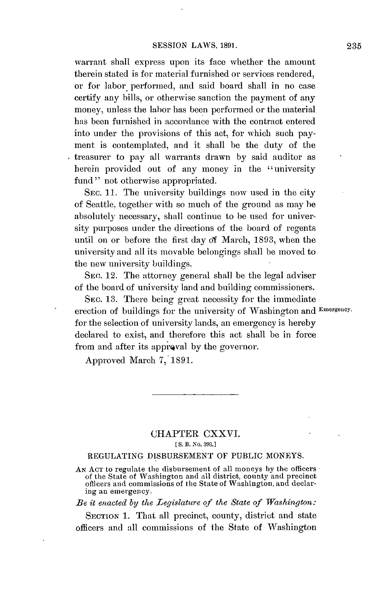warrant shall express upon its face whether the amount therein stated is for material furnished or services rendered, or for labor performed, and said board shall in no case certify any bills, or otherwise sanction the payment of any money, unless the labor has **been performed** or the material has been furnished in accordance with the contract entered into under the provisions of this act, for which such payment is contemplated, and it shall be the duty of the treasurer to pay all warrants drawn **by** said auditor as herein provided out of any money in the "university fund" not otherwise appropriated.

SEC. **11.** The university buildings now used in the city of Seattle, together with so much of the ground as may be absolutely necessary, shall continue to be used for university purposes under the directions of the board of regents until on or before the first day of March, **1893,** when the university and all its movable belongings shall be moved to the new university buildings.

**SEC.** 12. The attorney general shall be the legal adviser of the board of university land and building commissioners.

**SEc. 13.** There being great necessity for the immediate erection of buildings for the university of Washington and **Emergency.** for the selection of university lands, an emergency is hereby declared to exist, and therefore this act shall **be** in force from and after its appreval **by** the governor.

Approved March **7, 1891.**

## CHAPTER CXXVI. **[ S. B. No. 393.1**

## REGULATING **DISBURSEMENT** OF PUBLIC **MONEYS.**

**AN ACT** to regulate the disbursement of all moneys **by** the officers of the State of Washington and all district, county and precinct officers and commissions of the State of Washington, and declaring an emergency.

*Be it enacted by the Legislature of the State of Washington:*

**SECTION 1.** That all precinct, county, district and state officers and all commissions of the State of Washington